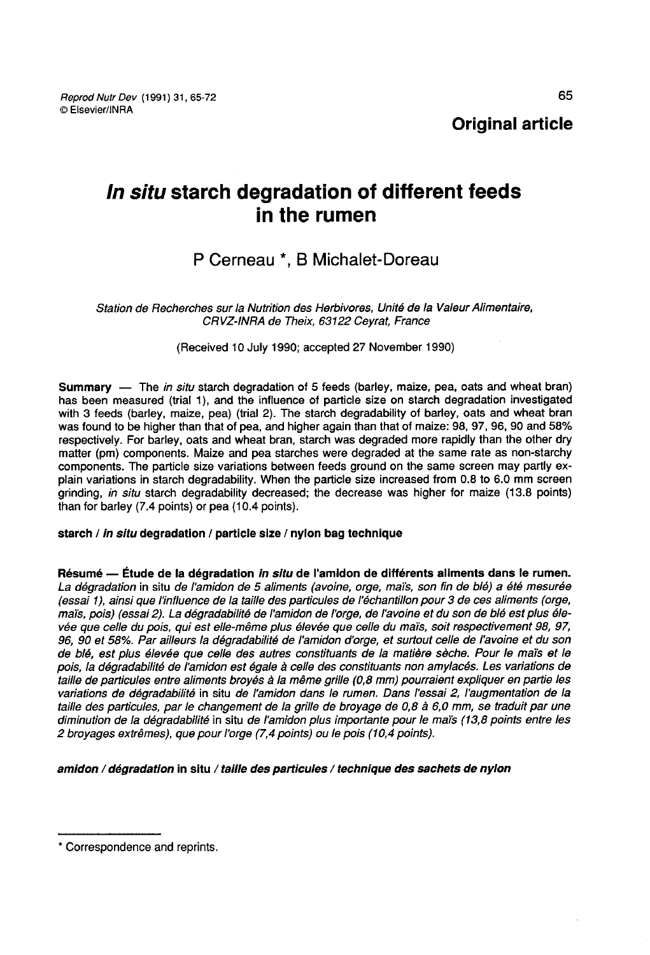# In situ starch degradation of different feeds in the rumen

## P Cerneau \*, B Michalet-Doreau

Station de Recherches sur la Nutrition des Herbivores, Unité de la Valeur Alimentaire, CRVZ-INRA de Theix, 63122 Ceyrat, France

(Received 10 July 1990; accepted 27 November 1990)

Summary — The in situ starch degradation of 5 feeds (barley, maize, pea, oats and wheat bran) has been measured (trial 1), and the influence of particle size on starch degradation investigated with 3 feeds (barley, maize, pea) (trial 2). The starch degradability of barley, oats and wheat bran was found to be higher than that of pea, and higher again than that of maize: 98, 97, 96, 90 and 58%<br>respectively. For barley, oats and wheat bran, starch was degraded more rapidly than the other dry matter (pm) components. Maize and pea starches were degraded at the same rate as non-starchy components. The particle size variations between feeds ground on the same screen may partly explain variations in starch degradability. When the particle size increased from 0.8 to 6.0 mm screen grinding, in situ starch degradability decreased; the decrease was higher for maize (13.8 points) than for barley (7.4 points) or pea (10.4 points).

## starch / in situ degradation / particle size / nylon bag technique

Résumé ― Étude de la dégradation in situ de l'amidon de différents aliments dans le rumen. La dégradation in situ de l'amidon de 5 aliments (avoine, orge, maïs, son fin de blé) a été mesurée (essai 1), ainsi que l'influence de la taille des particules de l'échantillon pour 3 de ces aliments (orge, mai's, pois) (essai 2). La dégradabilité de l'amidon de l'orge, de l'avoine et du son de blé est plus élevée que celle du pois, qui est elle-même plus élevée que celle du maïs, soit respectivement 98, 97, 96, 90 et 58%. Par ailleurs la dégradabilité de l'amidon d'orge, et surtout celle de l'avoine et du son de blé, est plus élevée que celle des autres constituants de la matière sèche. Pour le maïs et le pois, la dégradabilité de l'amidon est égale à celle des constituants non amylacés. Les variations de taille de particules entre aliments broyés à la même grille (0,8 mm) pourraient expliquer en partie les variations de dégradabilité in situ de l'amidon dans le rumen. Dans l'essai 2, l'augmentation de la taille des particules, par le changement de la grille de broyage de 0,8 à 6,0 mm, se traduit par une diminution de la dégradabilité in situ de l'amidon plus importante pour le maïs (13,8 points entre les 2 broyages extrêmes), que pour l'orge (7,4 points) ou le pois (10,4 points).

amidon / dégradation in situ / taille des particules / technique des sachets de nylon

<sup>\*</sup> Correspondence and reprints.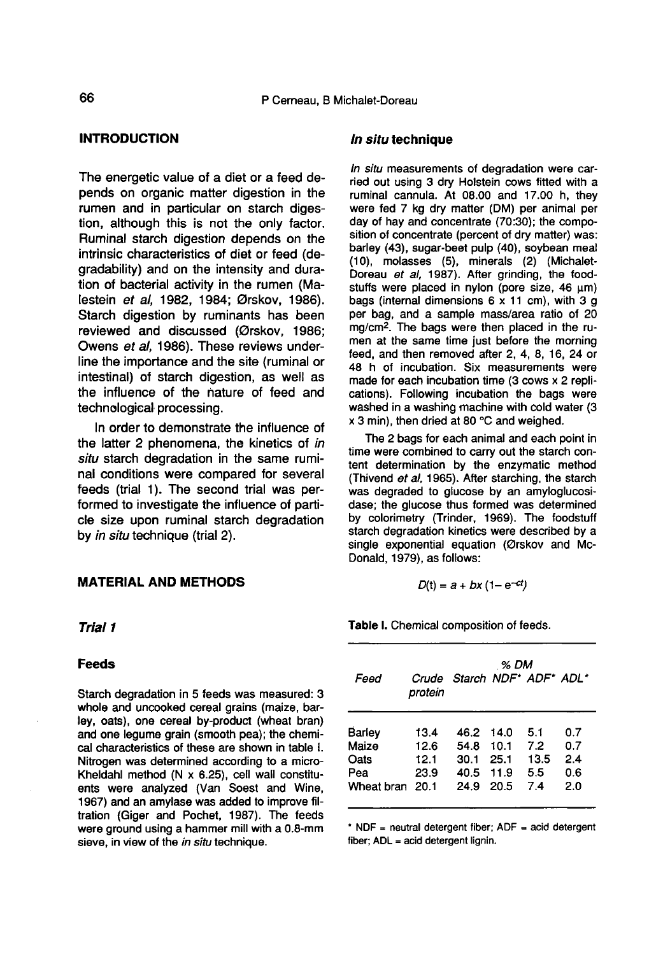## INTRODUCTION

The energetic value of a diet or a feed depends on organic matter digestion in the rumen and in particular on starch digestion, although this is not the only factor. Ruminal starch digestion depends on the intrinsic characteristics of diet or feed (degradability) and on the intensity and duration of bacterial activity in the rumen (Malestein et al, 1982, 1984; Ørskov, 1986). Starch digestion by ruminants has been reviewed and discussed (Ørskov, 1986; Owens et al, 1986). These reviews underline the importance and the site (ruminal or intestinal) of starch digestion, as well as the influence of the nature of feed and technological processing.

In order to demonstrate the influence of the latter 2 phenomena, the kinetics of in situ starch degradation in the same ruminal conditions were compared for several feeds (trial 1). The second trial was performed to investigate the influence of particle size upon ruminal starch degradation by in situ technique (trial 2).

#### MATERIAL AND METHODS

#### Trial 1

#### Feeds

Starch degradation in 5 feeds was measured: 3 whole and uncooked cereal grains (maize, barley, oats), one cereal by-product (wheat bran) and one legume grain (smooth pea); the chemical characteristics of these are shown in table I. Nitrogen was determined according to a micro-Kheldahl method (N x 6.25), cell wall constituents were analyzed (Van Soest and Wine, 1967) and an amylase was added to improve filtration (Giger and Pochet, 1987). The feeds were ground using a hammer mill with a 0.8-mm sieve, in view of the in situ technique.

#### In situ technique

In situ measurements of degradation were carried out using 3 dry Holstein cows fitted with a ruminal cannula. At 08.00 and 17.00 h, they were fed 7 kg dry matter (DM) per animal per day of hay and concentrate (70:30); the composition of concentrate (percent of dry matter) was: barley (43), sugar-beet pulp (40), soybean meal (10), molasses (5), minerals (2) (Michalet-Doreau et al, 1987). After grinding, the foodstuffs were placed in nylon (pore size,  $46 \mu m$ ) bags (internal dimensions  $6 \times 11$  cm), with 3 g per bag, and a sample mass/area ratio of 20 stuffs were placed in nylon (pore size, 46  $\mu$ m) bags (internal dimensions 6 x 11 cm), with 3 g per bag, and a sample mass/area ratio of 20 mg/cm<sup>2</sup>. The bags were then placed in the ru-<br>men at the same time just before men at the same time just before the morning feed, and then removed after 2, 4, 8, 16, 24 or 48 h of incubation. Six measurements were made for each incubation time (3 cows x 2 replications). Following incubation the bags were washed in a washing machine with cold water (3 x 3 min), then dried at 80 °C and weighed.

The 2 bags for each animal and each point in time were combined to carry out the starch content determination by the enzymatic method (Thivend et al, 1965). After starching, the starch was degraded to glucose by an amyloglucosidase; the glucose thus formed was determined by colorimetry (Trinder, 1969). The foodstuff starch degradation kinetics were described by a single exponential equation (Ørskov and Mc-Donald, 1979), as follows:

$$
D(t) = a + bx (1 - e^{-ct})
$$

Table I. Chemical composition of feeds.

| Feed            | protein | Crude Starch NDF* ADF* ADL* | % DM |      |     |
|-----------------|---------|-----------------------------|------|------|-----|
| Barley          | 13.4    | 46.2                        | 14.0 | 5.1  | 0.7 |
| Maize           | 12.6    | 54.8                        | 10.1 | 7.2  | 0.7 |
| Oats            | 12.1    | 30.1                        | 25.1 | 13.5 | 2.4 |
| Pea             | 23.9    | 40.5                        | 11.9 | 5.5  | 0.6 |
| Wheat bran 20.1 |         | 24.9                        | 20.5 | 7.4  | 2.0 |

\* NDF = neutral detergent fiber; ADF = acid detergent fiber; ADL = acid detergent lignin.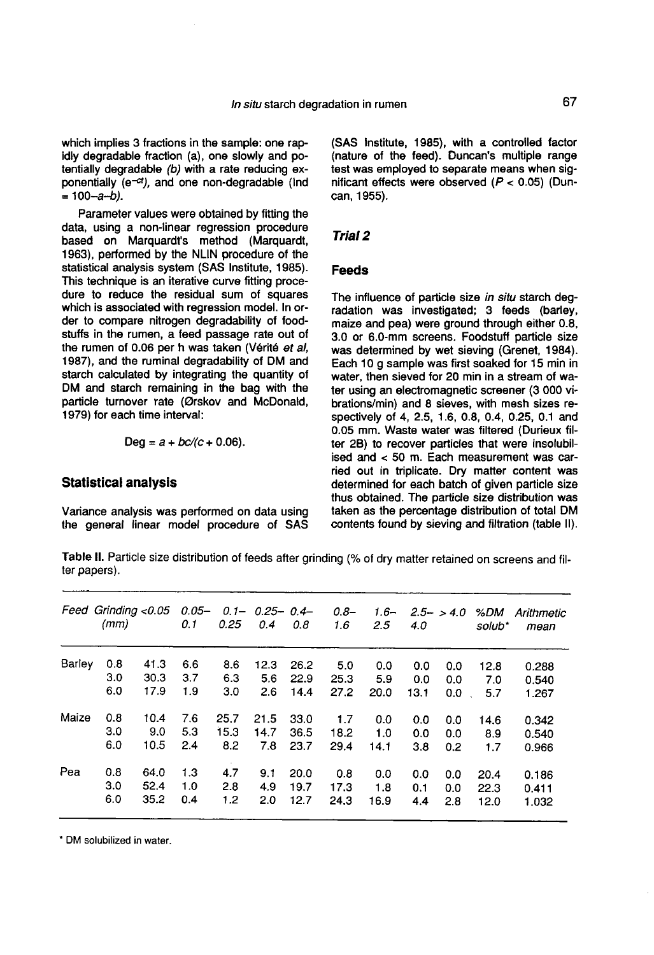which implies 3 fractions in the sample: one rapidly degradable fraction (a), one slowly and potentially degradable (b) with a rate reducing exponentially ( $e^{-ct}$ ), and one non-degradable (Ind  $=100-a-b$ ).

Parameter values were obtained by fitting the data, using a non-linear regression procedure based on Marquardt's method (Marquardt, 1963), performed by the NLIN procedure of the statistical analysis system (SAS Institute, 1985). This technique is an iterative curve fitting procedure to reduce the residual sum of squares which is associated with regression model. In order to compare nitrogen degradability of foodstuffs in the rumen, a feed passage rate out of the rumen of 0.06 per h was taken (Vérité et al, 1987), and the ruminal degradability of DM and starch calculated by integrating the quantity of DM and starch remaining in the bag with the particle turnover rate (0rskov and McDonald, 1979) for each time interval:

$$
Deg = a + bc/(c + 0.06).
$$

## Statistical analysis

Variance analysis was performed on data using the general linear model procedure of SAS (SAS Institute, 1985), with a controlled factor test was employed to separate means when significant effects were observed  $(P < 0.05)$  (Duncan, 1955).

#### Trial 2

#### Feeds

The influence of particle size in situ starch degradation was investigated; 3 feeds (barley, maize and pea) were ground through either 0.8, 3.0 or 6.0-mm screens. Foodstuff particle size was determined by wet sieving (Grenet, 1984). Each 10 g sample was first soaked for 15 min in water, then sieved for 20 min in a stream of water using an electromagnetic screener (3 000 vibrations/min) and 8 sieves, with mesh sizes respectively of 4, 2.5, 1.6, 0.8, 0.4, 0.25, 0.1 and 0.05 mm. Waste water was filtered (Durieux filter 28) to recover particles that were insolubilised and < 50 m. Each measurement was carried out in triplicate. Dry matter content was determined for each batch of given particle size thus obtained. The particle size distribution was taken as the percentage distribution of total DM contents found by sieving and filtration (table II).

Table II. Particle size distribution of feeds after grinding (% of dry matter retained on screens and filter papers).

| Feed   | (mm) | Grinding <0.05 | $0.05 -$<br>0.1 | $0.1 -$<br>0.25 | $0.25 - 0.4 -$<br>0.4 | 0.8  | $0.8 -$<br>1.6 | $1.6 -$<br>2.5 | 4.0  | $2.5 - 5.4.0$ | %DM<br>solub* | Arithmetic<br>mean |
|--------|------|----------------|-----------------|-----------------|-----------------------|------|----------------|----------------|------|---------------|---------------|--------------------|
| Barley | 0.8  | 41.3           | 6.6             | 8.6             | 12.3                  | 26.2 | 5.0            | 0.0            | 0.0  | 0.0           | 12.8          | 0.288              |
|        | 3.0  | 30.3           | 3.7             | 6.3             | 5.6                   | 22.9 | 25.3           | 5.9            | 0.0  | 0.0           | 7.0           | 0.540              |
|        | 6.0  | 17.9           | 1.9             | 3.0             | 2.6                   | 14.4 | 27.2           | 20.0           | 13.1 | 0.0           | 5.7           | 1.267              |
| Maize  | 0.8  | 10.4           | 7.6             | 25.7            | 21.5                  | 33.0 | 1.7            | 0.0            | 0.0  | 0.0           | 14.6          | 0.342              |
|        | 3.0  | 9.0            | 5.3             | 15.3            | 14.7                  | 36.5 | 18.2           | 1.0            | 0.0  | 0.0           | 8.9           | 0.540              |
|        | 6.0  | 10.5           | 2.4             | 8.2             | 7.8                   | 23.7 | 29.4           | 14.1           | 3.8  | 0.2           | 1.7           | 0.966              |
| Pea    | 0.8  | 64.0           | 1.3             | 4.7             | 9.1                   | 20.0 | 0.8            | 0.0            | 0.0  | 0.0           | 20.4          | 0.186              |
|        | 3.0  | 52.4           | 1.0             | 2.8             | 4.9                   | 19.7 | 17.3           | 1.8            | 0.1  | 0.0           | 22.3          | 0.411              |
|        | 6.0  | 35.2           | 0.4             | 1.2             | 2.0                   | 12.7 | 24.3           | 16.9           | 4.4  | 2.8           | 12.0          | 1.032              |
|        |      |                |                 |                 |                       |      |                |                |      |               |               |                    |

\* DM solubilized in water.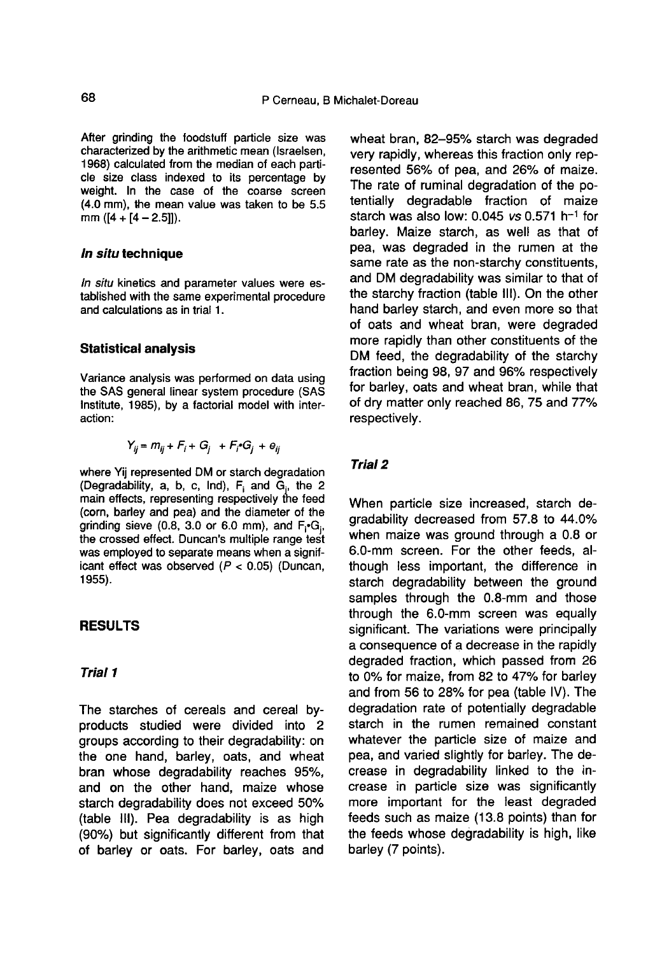After grinding the foodstuff particle size was characterized by the arithmetic mean (Israelsen, 1968) calculated from the median of each particle size class indexed to its percentage by weight. In the case of the coarse screen (4.0 mm), the mean value was taken to be 5.5 mm  $([4 + [4 - 2.5]])$ .

## In situ technique

In situ kinetics and parameter values were established with the same experimental procedure and calculations as in trial 1.

#### Statistical analysis

Variance analysis was performed on data using the SAS general linear system procedure (SAS Institute, 1985), by a factorial model with interaction:

$$
Y_{ii} = m_{ii} + F_i + G_i + F_i \cdot G_i + e_{ii}
$$

where Yij represented DM or starch degradation (Degradability, a, b, c, Ind),  $F_i$  and  $G_i$ , the 2 main effects, representing respectively the feed (corn, barley and pea) and the diameter of the grinding sieve (0.8, 3.0 or 6.0 mm), and  $F_i$ -G<sub>i</sub>, the crossed effect. Duncan's multiple range test grinding sieve (0.8, 3.0 or 6.0 mm), and  $F_i G_i$ , the crossed effect. Duncan's multiple range test was employed to separate means when a significant effect was observed  $(P < 0.05)$  (Duncan, 1955).

## RESULTS

## Trial 1

The starches of cereals and cereal byproducts studied were divided into 2 groups according to their degradability: on the one hand, barley, oats, and wheat bran whose degradability reaches 95%, and on the other hand, maize whose starch degradability does not exceed 50% (table 111). Pea degradability is as high (90%) but significantly different from that of barley or oats. For barley, oats and wheat bran, 82-95% starch was degraded very rapidly, whereas this fraction only represented 56% of pea, and 26% of maize. The rate of ruminal degradation of the potentially degradable fraction of maize starch was also low:  $0.045$  vs  $0.571$  h<sup>-1</sup> for barley. Maize starch, as well as that of pea, was degraded in the rumen at the same rate as the non-starchy constituents, and DM degradability was similar to that of the starchy fraction (table 111). On the other hand barley starch, and even more so that of oats and wheat bran, were degraded more rapidly than other constituents of the DM feed, the degradability of the starchy fraction being 98, 97 and 96% respectively for barley, oats and wheat bran, while that of dry matter only reached 86, 75 and 77% respectively.

## Trial 2

When particle size increased, starch degradability decreased from 57.8 to 44.0% when maize was ground through a 0.8 or 6.0-mm screen. For the other feeds, although less important, the difference in starch degradability between the ground samples through the 0.8-mm and those through the 6.0-mm screen was equally significant. The variations were principally a consequence of a decrease in the rapidly degraded fraction, which passed from 26 to 0% for maize, from 82 to 47% for barley and from 56 to 28% for pea (table IV). The degradation rate of potentially degradable starch in the rumen remained constant whatever the particle size of maize and pea, and varied slightly for barley. The decrease in degradability linked to the increase in particle size was significantly more important for the least degraded feeds such as maize (13.8 points) than for the feeds whose degradability is high, like barley (7 points).

68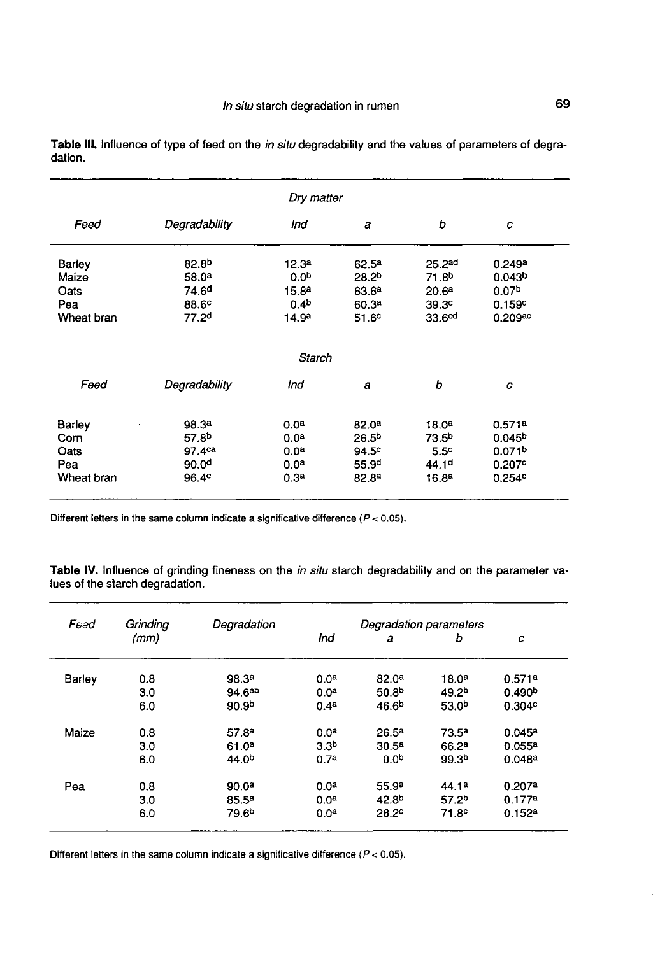| Dry matter |                    |                   |                   |                    |                    |  |  |  |
|------------|--------------------|-------------------|-------------------|--------------------|--------------------|--|--|--|
| Feed       | Degradability      | Ind               | a                 | b                  | c                  |  |  |  |
| Barley     | 82.8 <sup>b</sup>  | 12.3 <sup>a</sup> | 62.5 <sup>a</sup> | 25.2ad             | 0.249a             |  |  |  |
| Maize      | 58.0 <sup>a</sup>  | 0.0 <sup>b</sup>  | 28.2 <sup>b</sup> | 71.8 <sup>b</sup>  | 0.043 <sup>b</sup> |  |  |  |
| Oats       | 74.6 <sup>d</sup>  | 15.8 <sup>a</sup> | 63.6 <sup>a</sup> | 20.6 <sup>a</sup>  | 0.07 <sup>b</sup>  |  |  |  |
| Pea        | 88.6 <sup>c</sup>  | 0.4 <sup>b</sup>  | 60.3 <sup>a</sup> | 39.3 <sup>c</sup>  | 0.159c             |  |  |  |
| Wheat bran | 77.2 <sup>d</sup>  | 14.9 <sup>a</sup> | 51.6 <sup>c</sup> | 33.6 <sup>cd</sup> | $0.209$ ac         |  |  |  |
|            |                    | Starch            |                   |                    |                    |  |  |  |
| Feed       | Degradability      | Ind               | a                 | b                  | C                  |  |  |  |
| Barley     | 98.3 <sup>a</sup>  | 0.0 <sup>a</sup>  | 82.0 <sup>a</sup> | 18.0 <sup>a</sup>  | 0.571a             |  |  |  |
| Corn       | 57.8 <sup>b</sup>  | 0.0 <sup>a</sup>  | 26.5 <sup>b</sup> | 73.5 <sup>b</sup>  | 0.045 <sup>b</sup> |  |  |  |
| Oats       | 97.4 <sup>ca</sup> | 0.0 <sup>a</sup>  | 94.5 <sup>c</sup> | 5.5 <sup>c</sup>   | 0.071 <sup>b</sup> |  |  |  |
| Pea        | 90.0 <sup>d</sup>  | 0.0 <sup>a</sup>  | 55.9 <sup>d</sup> | 44.1 <sup>d</sup>  | 0.207c             |  |  |  |
| Wheat bran | 96.4 <sup>c</sup>  | 0.3 <sup>a</sup>  | 82.8 <sup>a</sup> | 16.8 <sup>a</sup>  | 0.254c             |  |  |  |

Table III. Influence of type of feed on the in situ degradability and the values of parameters of degradation.

Different letters in the same column indicate a significative difference ( $P < 0.05$ ).

Table IV. Influence of grinding fineness on the in situ starch degradability and on the parameter values of the starch degradation.

| Feed   | Grinding | Degradation       | Degradation parameters |                   |                   |                    |  |  |
|--------|----------|-------------------|------------------------|-------------------|-------------------|--------------------|--|--|
|        | (mm)     |                   | Ind                    | a                 | b                 | с                  |  |  |
| Barley | 0.8      | 98.3 <sup>a</sup> | 0.0 <sup>a</sup>       | 82.0 <sup>a</sup> | 18.0 <sup>a</sup> | 0.571a             |  |  |
|        | 3.0      | 94.6ab            | 0.0 <sup>a</sup>       | 50.8 <sup>b</sup> | 49.2 <sup>b</sup> | 0.490 <sup>b</sup> |  |  |
|        | 6.0      | 90.9 <sup>b</sup> | 0.4 <sup>a</sup>       | 46.6 <sup>b</sup> | 53.0 <sup>b</sup> | 0.304c             |  |  |
| Maize  | 0.8      | 57.8 <sup>a</sup> | 0.0 <sup>a</sup>       | 26.5 <sup>a</sup> | $73.5^a$          | 0.045a             |  |  |
|        | 3.0      | 61.0 <sup>a</sup> | 3.3 <sup>b</sup>       | 30.5 <sup>a</sup> | 66.2 <sup>a</sup> | 0.055a             |  |  |
|        | 6.0      | 44.0 <sup>b</sup> | 0.7 <sup>a</sup>       | 0.0 <sup>b</sup>  | 99.3 <sup>b</sup> | 0.048a             |  |  |
| Pea    | 0.8      | 90.0 <sup>a</sup> | 0.0 <sup>a</sup>       | 55.9ª             | 44.1 <sup>a</sup> | 0.207a             |  |  |
|        | 3.0      | 85.5 <sup>a</sup> | 0.0 <sup>a</sup>       | 42.8 <sup>b</sup> | 57.2 <sup>b</sup> | 0.177a             |  |  |
|        | 6.0      | 79.6 <sup>b</sup> | 0.0 <sup>a</sup>       | 28.2 <sup>c</sup> | 71.8 <sup>c</sup> | 0.152a             |  |  |

Different letters in the same column indicate a significative difference ( $P < 0.05$ ).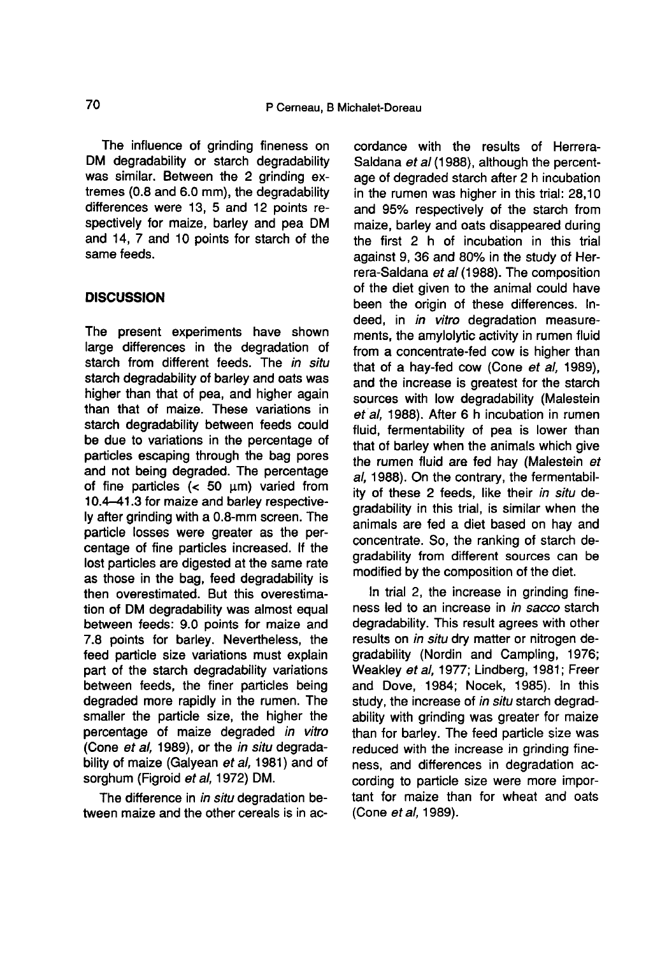The influence of grinding fineness on DM degradability or starch degradability was similar. Between the 2 grinding extremes (0.8 and 6.0 mm), the degradability differences were 13, 5 and 12 points respectively for maize, barley and pea DM and 14, 7 and 10 points for starch of the same feeds.

## **DISCUSSION**

The present experiments have shown large differences in the degradation of starch from different feeds. The in situ starch degradability of barley and oats was higher than that of pea, and higher again than that of maize. These variations in starch degradability between feeds could be due to variations in the percentage of particles escaping through the bag pores and not being degraded. The percentage of fine particles  $(< 50 \mu m)$  varied from 10.4-41.3 for maize and barley respectively after grinding with a 0.8-mm screen. The particle losses were greater as the percentage of fine particles increased. If the lost particles are digested at the same rate as those in the bag, feed degradability is then overestimated. But this overestimation of DM degradability was almost equal between feeds: 9.0 points for maize and 7.8 points for barley. Nevertheless, the feed particle size variations must explain part of the starch degradability variations between feeds, the finer particles being degraded more rapidly in the rumen. The smaller the particle size, the higher the percentage of maize degraded in vitro (Cone et al, 1989), or the in situ degradability of maize (Galyean et al, 1981) and of sorghum (Figroid et al, 1972) DM.

The difference in in situ degradation between maize and the other cereals is in ac-

cordance with the results of Herrera-Saldana et al (1988), although the percentage of degraded starch after 2 h incubation in the rumen was higher in this trial: 28,10 and 95% respectively of the starch from maize, barley and oats disappeared during the first 2 h of incubation in this trial against 9, 36 and 80% in the study of Herrera-Saldana et al (1988). The composition of the diet given to the animal could have been the origin of these differences. Indeed, in *in vitro* degradation measurements, the amylolytic activity in rumen fluid from a concentrate-fed cow is higher than that of a hay-fed cow (Cone et al, 1989), and the increase is greatest for the starch sources with low degradability (Malestein et al. 1988). After 6 h incubation in rumen fluid, fermentability of pea is lower than that of barley when the animals which give the rumen fluid are fed hay (Malestein et al, 1988). On the contrary, the fermentability of these 2 feeds, like their in situ degradability in this trial, is similar when the animals are fed a diet based on hay and concentrate. So, the ranking of starch degradability from different sources can be modified by the composition of the diet.

In trial 2, the increase in grinding fineness led to an increase in in sacco starch degradability. This result agrees with other results on *in situ* dry matter or nitrogen degradability (Nordin and Campling, 1976; Weakley et al, 1977; Lindberg, 1981; Freer and Dove, 1984; Nocek, 1985). In this study, the increase of in situ starch degradability with grinding was greater for maize than for barley. The feed particle size was reduced with the increase in grinding fineness, and differences in degradation according to particle size were more important for maize than for wheat and oats (Cone et al, 1989).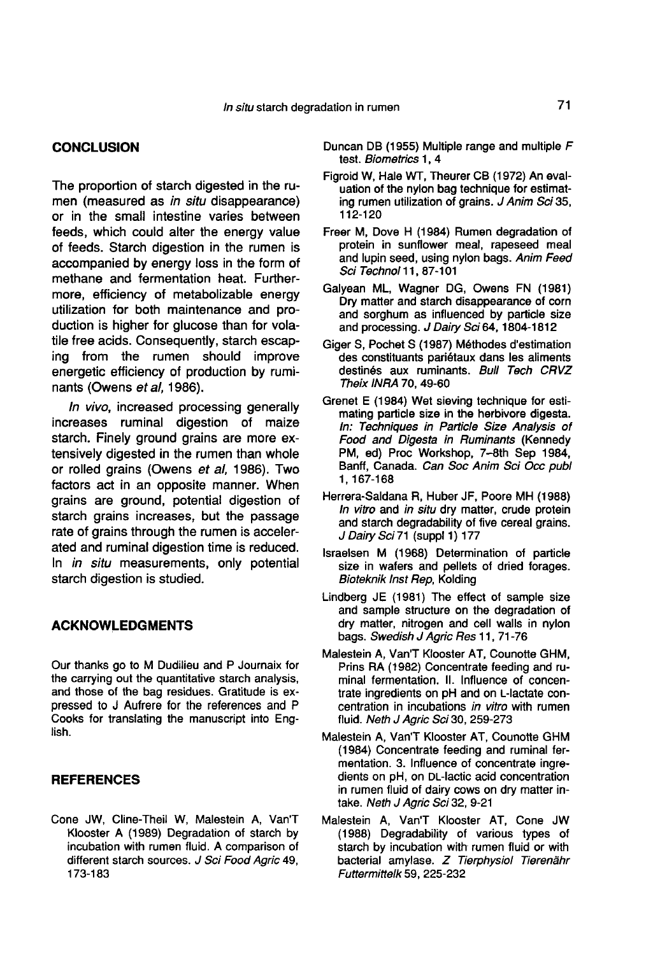## **CONCLUSION**

The proportion of starch digested in the rumen (measured as in situ disappearance) or in the small intestine varies between feeds, which could alter the energy value of feeds. Starch digestion in the rumen is accompanied by energy loss in the form of methane and fermentation heat. Furthermore, efficiency of metabolizable energy utilization for both maintenance and production is higher for glucose than for volatile free acids. Consequently, starch escaping from the rumen should improve energetic efficiency of production by ruminants (Owens et al, 1986).

In vivo, increased processing generally increases ruminal digestion of maize starch. Finely ground grains are more extensively digested in the rumen than whole or rolled grains (Owens et al, 1986). Two factors act in an opposite manner. When grains are ground, potential digestion of starch grains increases, but the passage rate of grains through the rumen is accelerated and ruminal digestion time is reduced. In *in situ* measurements, only potential starch digestion is studied.

## ACKNOWLEDGMENTS

Our thanks go to M Dudilieu and P Journaix for the carrying out the quantitative starch analysis, and those of the bag residues. Gratitude is expressed to J Aufrere for the references and P Cooks for translating the manuscript into English.

## **REFERENCES**

Cone JW, Cline-Theil W, Malestein A, Van'T Klooster A (1989) Degradation of starch by incubation with rumen fluid. A comparison of different starch sources. J Sci Food Agric 49, 173-183

- Duncan DB (1955) Multiple range and multiple F test. Biometrics 1, 4
- Figroid W, Hale WT, Theurer CB (1972) An evaluation of the nylon bag technique for estimating rumen utilization of grains. J Anim Sci 35, 112-120
- Freer M, Dove H (1984) Rumen degradation of protein in sunflower meal, rapeseed meal and lupin seed, using nylon bags. Anim Feed Sci Technol 11, 87-101
- Galyean ML, Wagner DG, Owens FN (1981) Dry matter and starch disappearance of corn and sorghum as influenced by particle size and processing. J Dairy Sci 64, 1804-1812
- Giger S, Pochet S (1987) M6thodes d'estimation des constituants pariétaux dans les aliments destinés aux ruminants. Bull Tech CRVZ Theix INRA 70, 49-60
- Grenet E (1984) Wet sieving technique for estimating particle size in the herbivore digesta. In: Techniques in Particle Size Analysis of Food and Digesta in Ruminants (Kennedy PM, ed) Proc Workshop, 7-8th Sep 1984, Banff, Canada. Can Soc Anim Sci Occ publ 1, 167-168
- Herrera-Saldana R, Huber JF, Poore MH (1988) In vitro and in situ dry matter, crude protein and starch degradability of five cereal grains. J Dairy Sci 71 (suppl 1) 177
- lsraelsen M (1968) Determination of particle size in wafers and pellets of dried forages. Bioteknik Inst Rep, Kolding
- Lindberg JE (1981) The effect of sample size and sample structure on the degradation of dry matter, nitrogen and cell walls in nylon bags. Swedish J Agric Res 11, 71-76
- Malestein A, Van'T Klooster AT, Counotte GHM, Prins RA (1982) Concentrate feeding and ruminal fermentation. it. Influence of concenlestein A, Van'T Klooster AT, Counotte GHM,<br>Prins RA (1982) Concentrate feeding and ru-<br>minal fermentation. II. Influence of concen-<br>trate ingredients on pH and on L-lactate con-<br>centration in incubations *in vitro* with r centration in incubations in vitro with rumen fluid. Neth J Agric Sci 30, 259-273
- Malestein A, Van'T Klooster AT, Counotte GHM (1984) Concentrate feeding and ruminal fermentation. 3. Influence of concentrate ingre-<br>dients on pH, on DL-lactic acid concentration lestein A, Van'T Klooster AT, Counotte GHM<br>(1984) Concentrate feeding and ruminal fer-<br>mentation. 3. Influence of concentrate ingre-<br>dients on pH, on DL-lactic acid concentration<br>in rumen fluid of dairy cows on dry matter in rumen fluid of dairy cows on dry matter intake. Neth J Agric Sci 32, 9-21
- Malestein A, Van'T Klooster AT, Cone JW (1988) Degradability of various types of starch by incubation with rumen fluid or with bacterial amylase. Z Tierphysiol Tierenähr Futtermittelk 59, 225-232